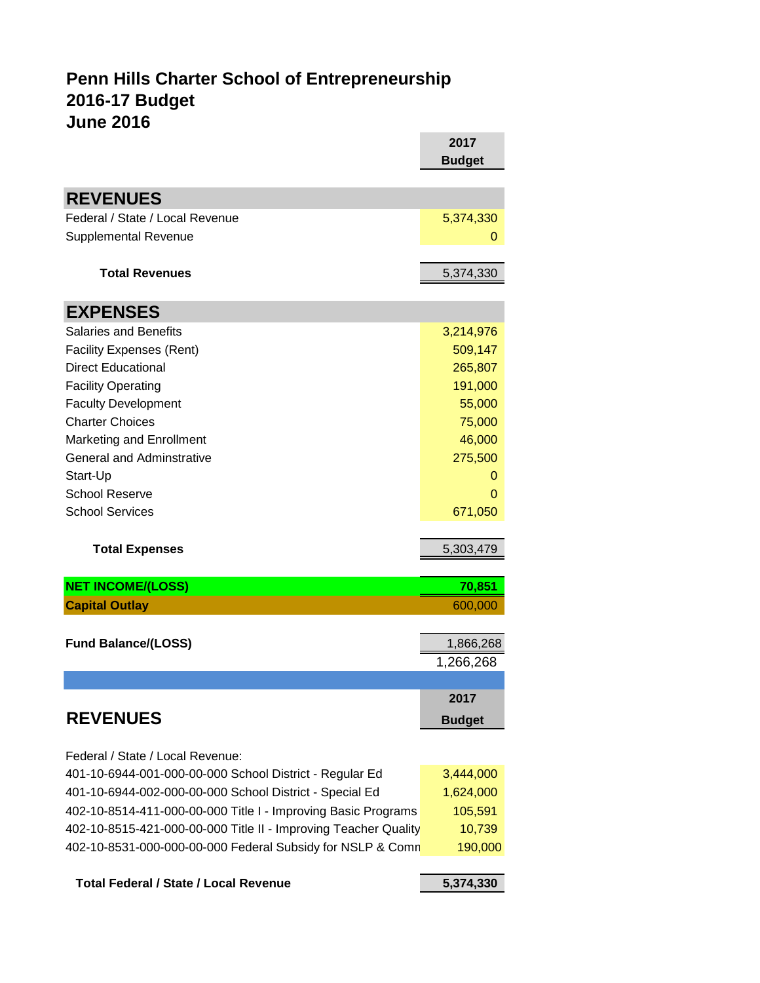# **June 2016 2017 Penn Hills Charter School of Entrepreneurship 2016-17 Budget**

|                                                                                                                    | 2017                   |
|--------------------------------------------------------------------------------------------------------------------|------------------------|
|                                                                                                                    | <b>Budget</b>          |
| <b>REVENUES</b>                                                                                                    |                        |
| Federal / State / Local Revenue                                                                                    |                        |
|                                                                                                                    | 5,374,330              |
| <b>Supplemental Revenue</b>                                                                                        | 0                      |
| <b>Total Revenues</b>                                                                                              | 5,374,330              |
| <b>EXPENSES</b>                                                                                                    |                        |
| <b>Salaries and Benefits</b>                                                                                       | 3,214,976              |
| <b>Facility Expenses (Rent)</b>                                                                                    | 509,147                |
| <b>Direct Educational</b>                                                                                          | 265,807                |
| <b>Facility Operating</b>                                                                                          | 191,000                |
| <b>Faculty Development</b>                                                                                         | 55,000                 |
| <b>Charter Choices</b>                                                                                             | 75,000                 |
| <b>Marketing and Enrollment</b>                                                                                    | 46,000                 |
| <b>General and Adminstrative</b>                                                                                   | 275,500                |
| Start-Up                                                                                                           | O                      |
| <b>School Reserve</b>                                                                                              | O                      |
| <b>School Services</b>                                                                                             | 671,050                |
| <b>Total Expenses</b>                                                                                              | 5,303,479              |
|                                                                                                                    |                        |
| <b>NET INCOME/(LOSS)</b>                                                                                           | 70,851                 |
| <b>Capital Outlay</b>                                                                                              | 600,000                |
|                                                                                                                    |                        |
| <b>Fund Balance/(LOSS)</b>                                                                                         | 1,866,268              |
|                                                                                                                    | 1,266,268              |
|                                                                                                                    |                        |
|                                                                                                                    | 2017                   |
| <b>REVENUES</b>                                                                                                    | <b>Budget</b>          |
|                                                                                                                    |                        |
| Federal / State / Local Revenue:                                                                                   |                        |
| 401-10-6944-001-000-00-000 School District - Regular Ed<br>401-10-6944-002-000-00-000 School District - Special Ed | 3,444,000<br>1,624,000 |
| 402-10-8514-411-000-00-000 Title I - Improving Basic Programs                                                      |                        |
| 402-10-8515-421-000-00-000 Title II - Improving Teacher Quality                                                    | 105,591<br>10,739      |
| 402-10-8531-000-000-00-000 Federal Subsidy for NSLP & Comn                                                         | 190,000                |
|                                                                                                                    |                        |

| Total Federal / State / Local Revenue | 5,374,330 |
|---------------------------------------|-----------|
|                                       |           |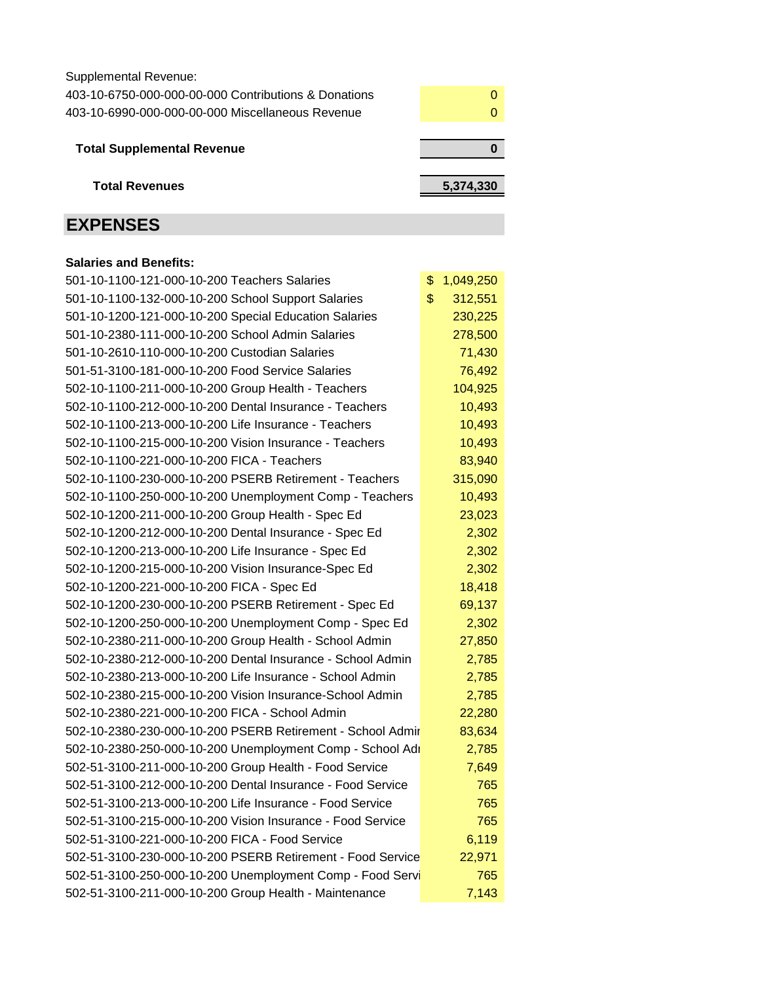Supplemental Revenue:

| 403-10-6750-000-000-00-000 Contributions & Donations |  |
|------------------------------------------------------|--|
| 403-10-6990-000-000-00-000 Miscellaneous Revenue     |  |

| <b>Total Supplemental Revenue</b> |  |
|-----------------------------------|--|
|                                   |  |

 **Total Revenues 5,374,330**

# **EXPENSES**

## **Salaries and Benefits:**

| 501-10-1100-121-000-10-200 Teachers Salaries               | \$<br>1,049,250 |
|------------------------------------------------------------|-----------------|
| 501-10-1100-132-000-10-200 School Support Salaries         | 312,551<br>\$   |
| 501-10-1200-121-000-10-200 Special Education Salaries      | 230,225         |
| 501-10-2380-111-000-10-200 School Admin Salaries           | 278,500         |
| 501-10-2610-110-000-10-200 Custodian Salaries              | 71,430          |
| 501-51-3100-181-000-10-200 Food Service Salaries           | 76,492          |
| 502-10-1100-211-000-10-200 Group Health - Teachers         | 104,925         |
| 502-10-1100-212-000-10-200 Dental Insurance - Teachers     | 10,493          |
| 502-10-1100-213-000-10-200 Life Insurance - Teachers       | 10,493          |
| 502-10-1100-215-000-10-200 Vision Insurance - Teachers     | 10,493          |
| 502-10-1100-221-000-10-200 FICA - Teachers                 | 83,940          |
| 502-10-1100-230-000-10-200 PSERB Retirement - Teachers     | 315,090         |
| 502-10-1100-250-000-10-200 Unemployment Comp - Teachers    | 10,493          |
| 502-10-1200-211-000-10-200 Group Health - Spec Ed          | 23,023          |
| 502-10-1200-212-000-10-200 Dental Insurance - Spec Ed      | 2,302           |
| 502-10-1200-213-000-10-200 Life Insurance - Spec Ed        | 2,302           |
| 502-10-1200-215-000-10-200 Vision Insurance-Spec Ed        | 2,302           |
| 502-10-1200-221-000-10-200 FICA - Spec Ed                  | 18,418          |
| 502-10-1200-230-000-10-200 PSERB Retirement - Spec Ed      | 69,137          |
| 502-10-1200-250-000-10-200 Unemployment Comp - Spec Ed     | 2,302           |
| 502-10-2380-211-000-10-200 Group Health - School Admin     | 27,850          |
| 502-10-2380-212-000-10-200 Dental Insurance - School Admin | 2,785           |
| 502-10-2380-213-000-10-200 Life Insurance - School Admin   | 2,785           |
| 502-10-2380-215-000-10-200 Vision Insurance-School Admin   | 2,785           |
| 502-10-2380-221-000-10-200 FICA - School Admin             | 22,280          |
| 502-10-2380-230-000-10-200 PSERB Retirement - School Admir | 83,634          |
| 502-10-2380-250-000-10-200 Unemployment Comp - School Adr  | 2,785           |
| 502-51-3100-211-000-10-200 Group Health - Food Service     | 7,649           |
| 502-51-3100-212-000-10-200 Dental Insurance - Food Service | 765             |
| 502-51-3100-213-000-10-200 Life Insurance - Food Service   | 765             |
| 502-51-3100-215-000-10-200 Vision Insurance - Food Service | 765             |
| 502-51-3100-221-000-10-200 FICA - Food Service             | 6,119           |
| 502-51-3100-230-000-10-200 PSERB Retirement - Food Service | 22,971          |
| 502-51-3100-250-000-10-200 Unemployment Comp - Food Servi  | 765             |
| 502-51-3100-211-000-10-200 Group Health - Maintenance      | 7,143           |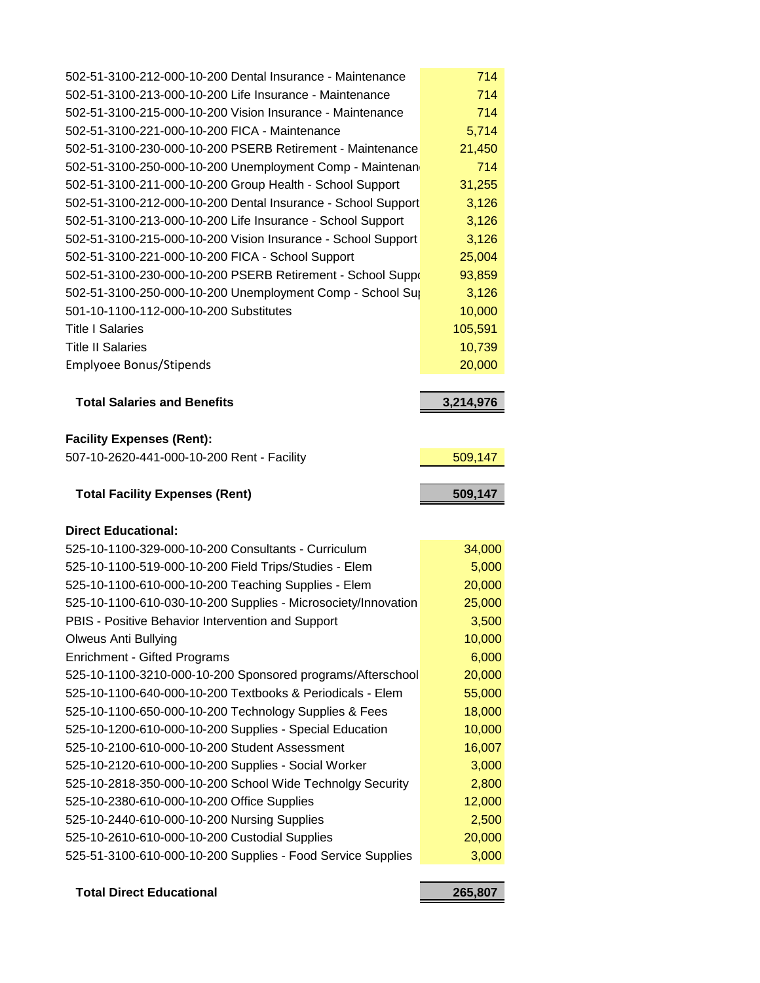| 502-51-3100-212-000-10-200 Dental Insurance - Maintenance                                                                                                                                                     | 714              |
|---------------------------------------------------------------------------------------------------------------------------------------------------------------------------------------------------------------|------------------|
| 502-51-3100-213-000-10-200 Life Insurance - Maintenance                                                                                                                                                       | 714              |
| 502-51-3100-215-000-10-200 Vision Insurance - Maintenance                                                                                                                                                     | 714              |
| 502-51-3100-221-000-10-200 FICA - Maintenance                                                                                                                                                                 | 5,714            |
| 502-51-3100-230-000-10-200 PSERB Retirement - Maintenance                                                                                                                                                     | 21,450           |
| 502-51-3100-250-000-10-200 Unemployment Comp - Maintenan                                                                                                                                                      | 714              |
| 502-51-3100-211-000-10-200 Group Health - School Support                                                                                                                                                      | 31,255           |
| 502-51-3100-212-000-10-200 Dental Insurance - School Support                                                                                                                                                  | 3,126            |
| 502-51-3100-213-000-10-200 Life Insurance - School Support                                                                                                                                                    | 3,126            |
| 502-51-3100-215-000-10-200 Vision Insurance - School Support                                                                                                                                                  | 3,126            |
| 502-51-3100-221-000-10-200 FICA - School Support                                                                                                                                                              | 25,004           |
| 502-51-3100-230-000-10-200 PSERB Retirement - School Suppo                                                                                                                                                    | 93,859           |
| 502-51-3100-250-000-10-200 Unemployment Comp - School Sup                                                                                                                                                     | 3,126            |
| 501-10-1100-112-000-10-200 Substitutes                                                                                                                                                                        | 10,000           |
| <b>Title I Salaries</b>                                                                                                                                                                                       | 105,591          |
| <b>Title II Salaries</b>                                                                                                                                                                                      | 10,739           |
| Emplyoee Bonus/Stipends                                                                                                                                                                                       | 20,000           |
|                                                                                                                                                                                                               |                  |
| <b>Total Salaries and Benefits</b>                                                                                                                                                                            | 3,214,976        |
| <b>Facility Expenses (Rent):</b>                                                                                                                                                                              |                  |
| 507-10-2620-441-000-10-200 Rent - Facility                                                                                                                                                                    | 509,147          |
|                                                                                                                                                                                                               |                  |
|                                                                                                                                                                                                               |                  |
| <b>Total Facility Expenses (Rent)</b>                                                                                                                                                                         | 509,147          |
|                                                                                                                                                                                                               |                  |
| <b>Direct Educational:</b>                                                                                                                                                                                    |                  |
| 525-10-1100-329-000-10-200 Consultants - Curriculum                                                                                                                                                           | 34,000           |
| 525-10-1100-519-000-10-200 Field Trips/Studies - Elem                                                                                                                                                         | 5,000            |
| 525-10-1100-610-000-10-200 Teaching Supplies - Elem                                                                                                                                                           | 20,000           |
| 525-10-1100-610-030-10-200 Supplies - Microsociety/Innovation                                                                                                                                                 | 25,000           |
| PBIS - Positive Behavior Intervention and Support                                                                                                                                                             | 3,500            |
| <b>Olweus Anti Bullying</b>                                                                                                                                                                                   | 10,000           |
| <b>Enrichment - Gifted Programs</b>                                                                                                                                                                           | 6,000<br>20,000  |
| 525-10-1100-3210-000-10-200 Sponsored programs/Afterschool<br>525-10-1100-640-000-10-200 Textbooks & Periodicals - Elem                                                                                       |                  |
|                                                                                                                                                                                                               | 55,000           |
| 525-10-1100-650-000-10-200 Technology Supplies & Fees                                                                                                                                                         | 18,000           |
| 525-10-1200-610-000-10-200 Supplies - Special Education<br>525-10-2100-610-000-10-200 Student Assessment                                                                                                      | 10,000<br>16,007 |
|                                                                                                                                                                                                               | 3,000            |
|                                                                                                                                                                                                               | 2,800            |
|                                                                                                                                                                                                               | 12,000           |
| 525-10-2120-610-000-10-200 Supplies - Social Worker<br>525-10-2818-350-000-10-200 School Wide Technolgy Security<br>525-10-2380-610-000-10-200 Office Supplies<br>525-10-2440-610-000-10-200 Nursing Supplies | 2,500            |
|                                                                                                                                                                                                               | 20,000           |
| 525-10-2610-610-000-10-200 Custodial Supplies<br>525-51-3100-610-000-10-200 Supplies - Food Service Supplies                                                                                                  | 3,000            |

## **Total Direct Educational 265,807**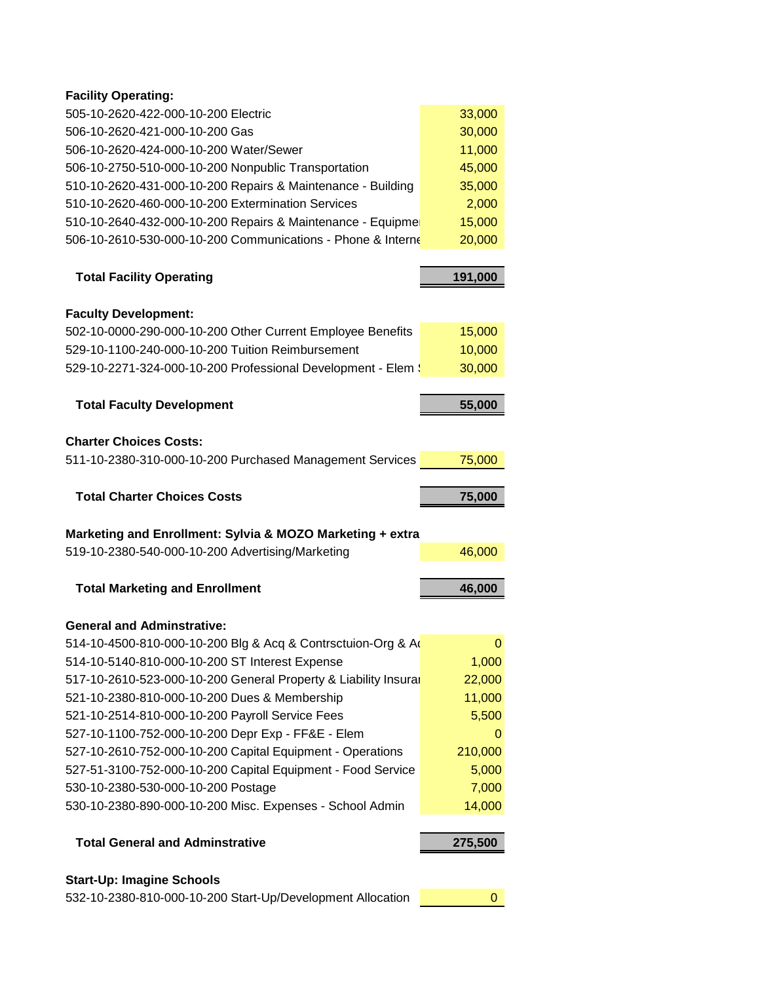### **Facility Operating:**

| 505-10-2620-422-000-10-200 Electric                         | 33,000 |
|-------------------------------------------------------------|--------|
| 506-10-2620-421-000-10-200 Gas                              | 30,000 |
| 506-10-2620-424-000-10-200 Water/Sewer                      | 11,000 |
| 506-10-2750-510-000-10-200 Nonpublic Transportation         | 45,000 |
| 510-10-2620-431-000-10-200 Repairs & Maintenance - Building | 35,000 |
| 510-10-2620-460-000-10-200 Extermination Services           | 2,000  |
| 510-10-2640-432-000-10-200 Repairs & Maintenance - Equipme  | 15,000 |
| 506-10-2610-530-000-10-200 Communications - Phone & Interne | 20,000 |

| <b>Total Facility Operating</b> | 191.000 |
|---------------------------------|---------|
|                                 |         |

| <b>Faculty Development:</b>                                  |        |
|--------------------------------------------------------------|--------|
| 502-10-0000-290-000-10-200 Other Current Employee Benefits   | 15,000 |
| 529-10-1100-240-000-10-200 Tuition Reimbursement             | 10,000 |
| 529-10-2271-324-000-10-200 Professional Development - Elem : | 30,000 |
|                                                              |        |

| <b>Total Faculty Development</b>                         | 55,000 |
|----------------------------------------------------------|--------|
| <b>Charter Choices Costs:</b>                            |        |
| 511-10-2380-310-000-10-200 Purchased Management Services | 75,000 |
|                                                          |        |
| <b>Total Charter Choices Costs</b>                       | 75,000 |
|                                                          |        |

# **Marketing and Enrollment: Sylvia & MOZO Marketing + extra**

| 519-10-2380-540-000-10-200 Advertising/Marketing | 46,000 |
|--------------------------------------------------|--------|
|                                                  |        |

| <b>Total Marketing and Enrollment</b> | 46.000 |
|---------------------------------------|--------|
|                                       |        |

#### **General and Adminstrative:**

| 514-10-4500-810-000-10-200 Blg & Acq & Contrsctuion-Org & Ad    |          |
|-----------------------------------------------------------------|----------|
| 514-10-5140-810-000-10-200 ST Interest Expense                  | 1,000    |
| 517-10-2610-523-000-10-200 General Property & Liability Insural | 22,000   |
| 521-10-2380-810-000-10-200 Dues & Membership                    | 11,000   |
| 521-10-2514-810-000-10-200 Payroll Service Fees                 | 5,500    |
| 527-10-1100-752-000-10-200 Depr Exp - FF&E - Elem               | $\Omega$ |
| 527-10-2610-752-000-10-200 Capital Equipment - Operations       | 210,000  |
| 527-51-3100-752-000-10-200 Capital Equipment - Food Service     | 5,000    |
| 530-10-2380-530-000-10-200 Postage                              | 7,000    |
| 530-10-2380-890-000-10-200 Misc. Expenses - School Admin        | 14,000   |

## **Total General and Adminstrative <b>275,500**

#### **Start-Up: Imagine Schools**

532-10-2380-810-000-10-200 Start-Up/Development Allocation **0**